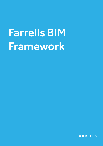## **Farrells BIM** Framework

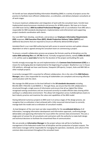At Farrells we have adopted Building Information Modelling (BIM) in a variety of projects across the practice to facilitate more efficient collaboration, co-ordination, and delivery between consultants at all work stages.

To ensure maximum collaboration and integration of work with the consultant team, Farrells have implemented several processes standards and process for all BIM projects. We have an in-house core BIM team led by a **BIM Accredited Professional Manager** with an accreditation from BRE who is responsible for BIM standards development, implementation and enforcement and supporting project standards coordination with clients.

Our core BIM Team develop, coordinate, and produce our **Employers Information Requirements (EIR)** responses, **BIM Execution Plans (BEP), Model Production Delivery Tables (MPDT)** and additional documents that are required to ensure an efficiently delivered BIM project.

Autodesk Revit is our main BIM authoring tool with access to several versions and update releases dependant on what is agreed among the consultant team on commencing a project.

To ensure a smooth collaboration process we propose the formats used by all disciplines are the **native BIM authoring files** and **.IFC file** format. Formally recognised schema, namely **COBie UK 2012** v 2.4, will be used as **asset data** format for the duration of the project and building life cycle.

Farrells strongly encourage the use and implementation of a **Common Data Environment (CDE)** as a means for exchanging data be implemented at the beginning of a project. Newforma is our in-house CDE platform, although we have used Aconex, Viewpoint (4Projects), Conject, Asite and BIM 360 on other multiple projects.

A correctly managed CDE is essential for efficient collaboration, this is the role of the **BIM Delivery Manager,** who is also responsible for ensuring all stakeholders are compliant and ensuring effective communication with the client.

We manage the BIM process to the level defined in the **UK standards documents** including BS1192:2007, PAS1192-2 and BS8541-1. Through these, we ensure that the CDE collaboration is structured through a single source of information and ensure that all our digital files follow recognised naming conventions and are structured correctly to enable efficient data sharing whilst working in a collaborative environment. This allows full integration across multidisciplinary teams to best industry practice and maximise the value and capabilities of the BIM model.

Having delivered numerous projects to BIM Level 2 at various stages of the design process, we recognise that co-ordination is best achieved with a fully resourced internal team to correctly manage both the model and co-ordination of consultant models.

As lead designers of the core team we take responsibility for the **co-ordinated delivery** of all information, managing information development and information approvals, confirming design deliverables and approving information for issue within the common data environment. This acts a single point of contact for all consultants and contractors with the authority to make both design and technical decisions to facilitate the streamlined flow of communication.

We can provide an **Information Manager** to the project whose role will be to facilitate the management of the federated model from all discipline and the production of project outputs. The information manager will be responsible for managing the operation, standards, and culture of the common data environment throughout the consultant team